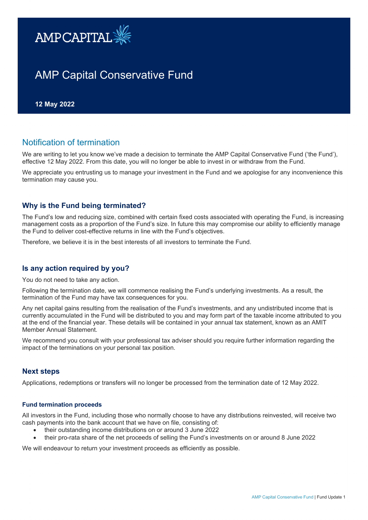

# AMP Capital Conservative Fund

**12 May 2022** 

## Notification of termination

We are writing to let you know we've made a decision to terminate the AMP Capital Conservative Fund ('the Fund'). effective 12 May 2022. From this date, you will no longer be able to invest in or withdraw from the Fund.

We appreciate you entrusting us to manage your investment in the Fund and we apologise for any inconvenience this termination may cause you.

## **Why is the Fund being terminated?**

The Fund's low and reducing size, combined with certain fixed costs associated with operating the Fund, is increasing management costs as a proportion of the Fund's size. In future this may compromise our ability to efficiently manage the Fund to deliver cost-effective returns in line with the Fund's objectives.

Therefore, we believe it is in the best interests of all investors to terminate the Fund.

## **Is any action required by you?**

You do not need to take any action.

Following the termination date, we will commence realising the Fund's underlying investments. As a result, the termination of the Fund may have tax consequences for you.

Any net capital gains resulting from the realisation of the Fund's investments, and any undistributed income that is currently accumulated in the Fund will be distributed to you and may form part of the taxable income attributed to you at the end of the financial year. These details will be contained in your annual tax statement, known as an AMIT Member Annual Statement.

We recommend you consult with your professional tax adviser should you require further information regarding the impact of the terminations on your personal tax position.

## **Next steps**

Applications, redemptions or transfers will no longer be processed from the termination date of 12 May 2022.

#### **Fund termination proceeds**

All investors in the Fund, including those who normally choose to have any distributions reinvested, will receive two cash payments into the bank account that we have on file, consisting of:

- their outstanding income distributions on or around 3 June 2022
- their pro-rata share of the net proceeds of selling the Fund's investments on or around 8 June 2022

We will endeavour to return your investment proceeds as efficiently as possible.